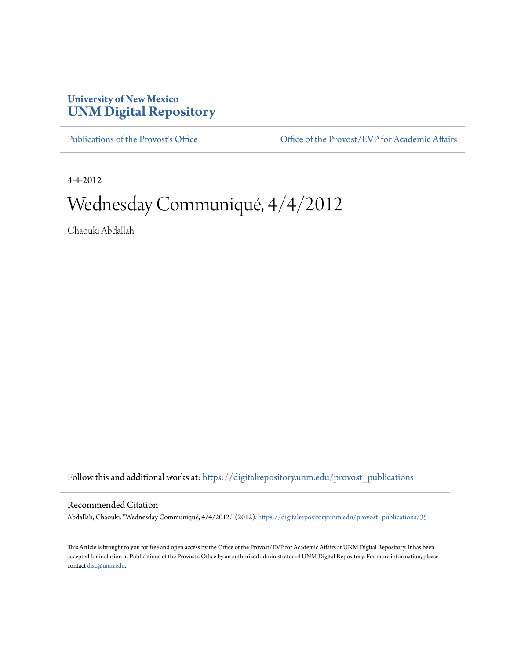## **University of New Mexico [UNM Digital Repository](https://digitalrepository.unm.edu?utm_source=digitalrepository.unm.edu%2Fprovost_publications%2F35&utm_medium=PDF&utm_campaign=PDFCoverPages)**

[Publications of the Provost's Office](https://digitalrepository.unm.edu/provost_publications?utm_source=digitalrepository.unm.edu%2Fprovost_publications%2F35&utm_medium=PDF&utm_campaign=PDFCoverPages) Office [Office of the Provost/EVP for Academic Affairs](https://digitalrepository.unm.edu/ofc_provost?utm_source=digitalrepository.unm.edu%2Fprovost_publications%2F35&utm_medium=PDF&utm_campaign=PDFCoverPages)

4-4-2012

# Wednesday Communiqué, 4/4/2012

Chaouki Abdallah

Follow this and additional works at: [https://digitalrepository.unm.edu/provost\\_publications](https://digitalrepository.unm.edu/provost_publications?utm_source=digitalrepository.unm.edu%2Fprovost_publications%2F35&utm_medium=PDF&utm_campaign=PDFCoverPages)

#### Recommended Citation

Abdallah, Chaouki. "Wednesday Communiqué, 4/4/2012." (2012). [https://digitalrepository.unm.edu/provost\\_publications/35](https://digitalrepository.unm.edu/provost_publications/35?utm_source=digitalrepository.unm.edu%2Fprovost_publications%2F35&utm_medium=PDF&utm_campaign=PDFCoverPages)

This Article is brought to you for free and open access by the Office of the Provost/EVP for Academic Affairs at UNM Digital Repository. It has been accepted for inclusion in Publications of the Provost's Office by an authorized administrator of UNM Digital Repository. For more information, please contact [disc@unm.edu.](mailto:disc@unm.edu)